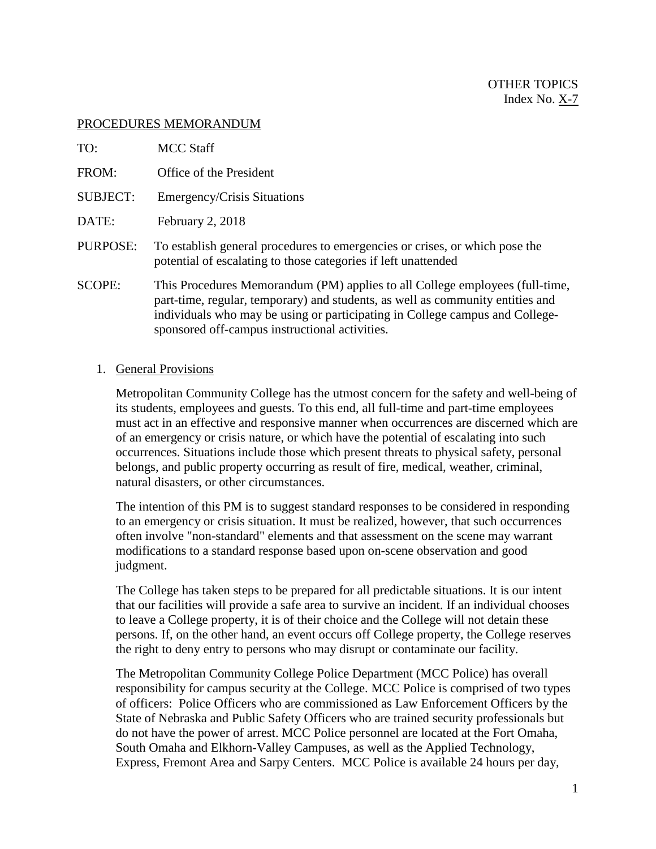### PROCEDURES MEMORANDUM

| TO:             | <b>MCC Staff</b>                                                                                                                                                                                                                                                                                 |
|-----------------|--------------------------------------------------------------------------------------------------------------------------------------------------------------------------------------------------------------------------------------------------------------------------------------------------|
| FROM:           | Office of the President                                                                                                                                                                                                                                                                          |
| <b>SUBJECT:</b> | Emergency/Crisis Situations                                                                                                                                                                                                                                                                      |
| DATE:           | February 2, 2018                                                                                                                                                                                                                                                                                 |
| PURPOSE:        | To establish general procedures to emergencies or crises, or which pose the<br>potential of escalating to those categories if left unattended                                                                                                                                                    |
| <b>SCOPE:</b>   | This Procedures Memorandum (PM) applies to all College employees (full-time,<br>part-time, regular, temporary) and students, as well as community entities and<br>individuals who may be using or participating in College campus and College-<br>sponsored off-campus instructional activities. |

## 1. General Provisions

Metropolitan Community College has the utmost concern for the safety and well-being of its students, employees and guests. To this end, all full-time and part-time employees must act in an effective and responsive manner when occurrences are discerned which are of an emergency or crisis nature, or which have the potential of escalating into such occurrences. Situations include those which present threats to physical safety, personal belongs, and public property occurring as result of fire, medical, weather, criminal, natural disasters, or other circumstances.

The intention of this PM is to suggest standard responses to be considered in responding to an emergency or crisis situation. It must be realized, however, that such occurrences often involve "non-standard" elements and that assessment on the scene may warrant modifications to a standard response based upon on-scene observation and good judgment.

The College has taken steps to be prepared for all predictable situations. It is our intent that our facilities will provide a safe area to survive an incident. If an individual chooses to leave a College property, it is of their choice and the College will not detain these persons. If, on the other hand, an event occurs off College property, the College reserves the right to deny entry to persons who may disrupt or contaminate our facility.

The Metropolitan Community College Police Department (MCC Police) has overall responsibility for campus security at the College. MCC Police is comprised of two types of officers: Police Officers who are commissioned as Law Enforcement Officers by the State of Nebraska and Public Safety Officers who are trained security professionals but do not have the power of arrest. MCC Police personnel are located at the Fort Omaha, South Omaha and Elkhorn-Valley Campuses, as well as the Applied Technology, Express, Fremont Area and Sarpy Centers. MCC Police is available 24 hours per day,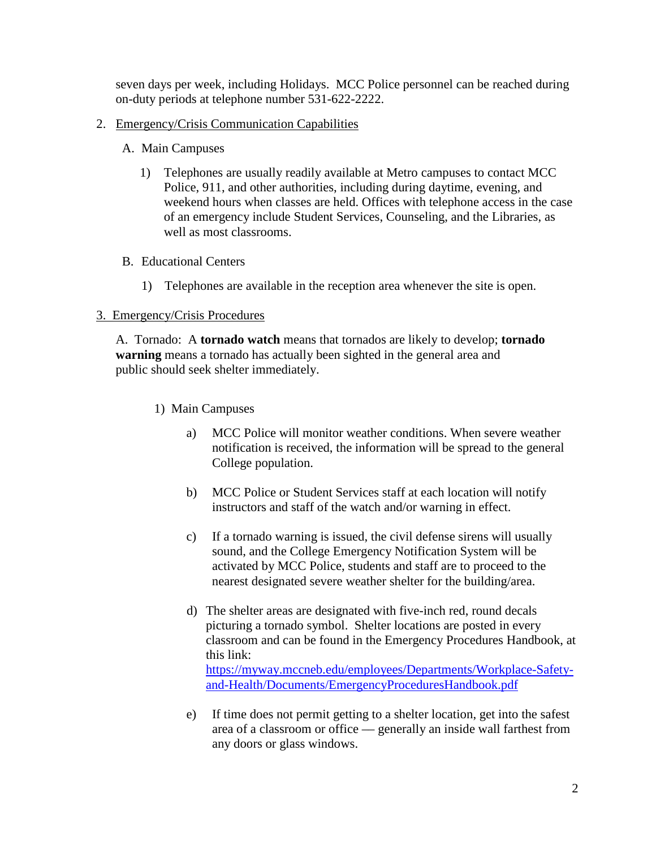seven days per week, including Holidays. MCC Police personnel can be reached during on-duty periods at telephone number 531-622-2222.

- 2. Emergency/Crisis Communication Capabilities
	- A. Main Campuses
		- 1) Telephones are usually readily available at Metro campuses to contact MCC Police, 911, and other authorities, including during daytime, evening, and weekend hours when classes are held. Offices with telephone access in the case of an emergency include Student Services, Counseling, and the Libraries, as well as most classrooms.
	- B. Educational Centers
		- 1) Telephones are available in the reception area whenever the site is open.

# 3. Emergency/Crisis Procedures

A. Tornado: A **tornado watch** means that tornados are likely to develop; **tornado warning** means a tornado has actually been sighted in the general area and public should seek shelter immediately.

- 1) Main Campuses
	- a) MCC Police will monitor weather conditions. When severe weather notification is received, the information will be spread to the general College population.
	- b) MCC Police or Student Services staff at each location will notify instructors and staff of the watch and/or warning in effect.
	- c) If a tornado warning is issued, the civil defense sirens will usually sound, and the College Emergency Notification System will be activated by MCC Police, students and staff are to proceed to the nearest designated severe weather shelter for the building/area.
	- d) The shelter areas are designated with five-inch red, round decals picturing a tornado symbol. Shelter locations are posted in every classroom and can be found in the Emergency Procedures Handbook, at this link: [https://myway.mccneb.edu/employees/Departments/Workplace-Safety](https://myway.mccneb.edu/employees/Departments/Workplace-Safety-and-Health/Documents/EmergencyProceduresHandbook.pdf)[and-Health/Documents/EmergencyProceduresHandbook.pdf](https://myway.mccneb.edu/employees/Departments/Workplace-Safety-and-Health/Documents/EmergencyProceduresHandbook.pdf)
	- e) If time does not permit getting to a shelter location, get into the safest area of a classroom or office –– generally an inside wall farthest from any doors or glass windows.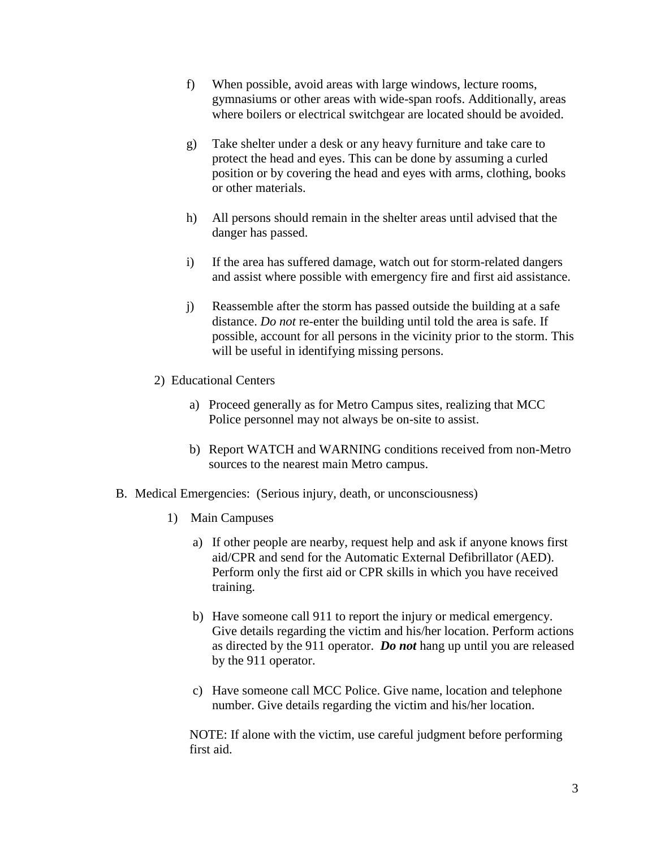- f) When possible, avoid areas with large windows, lecture rooms, gymnasiums or other areas with wide-span roofs. Additionally, areas where boilers or electrical switchgear are located should be avoided.
- g) Take shelter under a desk or any heavy furniture and take care to protect the head and eyes. This can be done by assuming a curled position or by covering the head and eyes with arms, clothing, books or other materials.
- h) All persons should remain in the shelter areas until advised that the danger has passed.
- i) If the area has suffered damage, watch out for storm-related dangers and assist where possible with emergency fire and first aid assistance.
- j) Reassemble after the storm has passed outside the building at a safe distance. *Do not* re-enter the building until told the area is safe. If possible, account for all persons in the vicinity prior to the storm. This will be useful in identifying missing persons.
- 2) Educational Centers
	- a) Proceed generally as for Metro Campus sites, realizing that MCC Police personnel may not always be on-site to assist.
	- b) Report WATCH and WARNING conditions received from non-Metro sources to the nearest main Metro campus.
- B. Medical Emergencies: (Serious injury, death, or unconsciousness)
	- 1) Main Campuses
		- a) If other people are nearby, request help and ask if anyone knows first aid/CPR and send for the Automatic External Defibrillator (AED). Perform only the first aid or CPR skills in which you have received training.
		- b) Have someone call 911 to report the injury or medical emergency. Give details regarding the victim and his/her location. Perform actions as directed by the 911 operator. *Do not* hang up until you are released by the 911 operator.
		- c) Have someone call MCC Police. Give name, location and telephone number. Give details regarding the victim and his/her location.

NOTE: If alone with the victim, use careful judgment before performing first aid.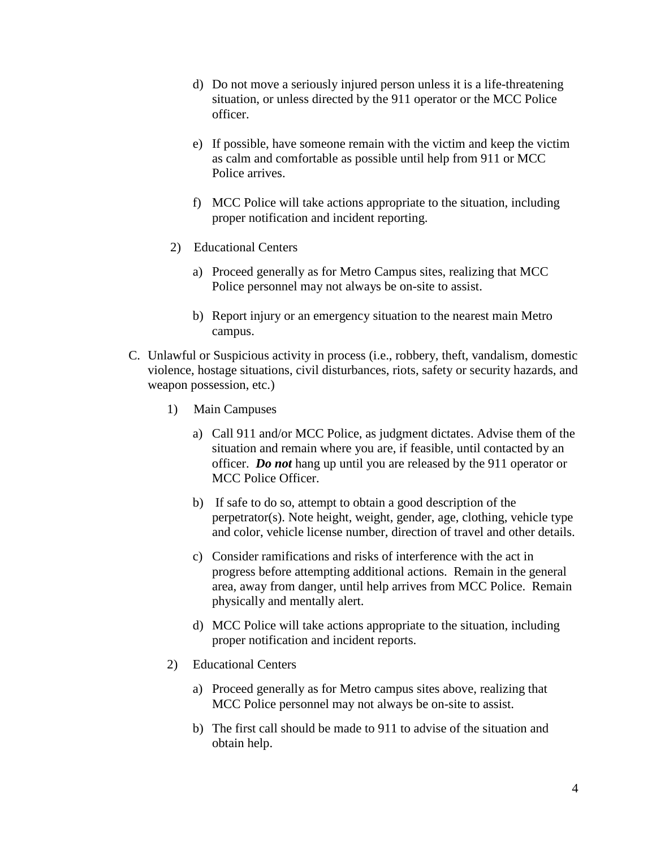- d) Do not move a seriously injured person unless it is a life-threatening situation, or unless directed by the 911 operator or the MCC Police officer.
- e) If possible, have someone remain with the victim and keep the victim as calm and comfortable as possible until help from 911 or MCC Police arrives.
- f) MCC Police will take actions appropriate to the situation, including proper notification and incident reporting.
- 2) Educational Centers
	- a) Proceed generally as for Metro Campus sites, realizing that MCC Police personnel may not always be on-site to assist.
	- b) Report injury or an emergency situation to the nearest main Metro campus.
- C. Unlawful or Suspicious activity in process (i.e., robbery, theft, vandalism, domestic violence, hostage situations, civil disturbances, riots, safety or security hazards, and weapon possession, etc.)
	- 1) Main Campuses
		- a) Call 911 and/or MCC Police, as judgment dictates. Advise them of the situation and remain where you are, if feasible, until contacted by an officer. *Do not* hang up until you are released by the 911 operator or MCC Police Officer.
		- b) If safe to do so, attempt to obtain a good description of the perpetrator(s). Note height, weight, gender, age, clothing, vehicle type and color, vehicle license number, direction of travel and other details.
		- c) Consider ramifications and risks of interference with the act in progress before attempting additional actions. Remain in the general area, away from danger, until help arrives from MCC Police. Remain physically and mentally alert.
		- d) MCC Police will take actions appropriate to the situation, including proper notification and incident reports.
	- 2) Educational Centers
		- a) Proceed generally as for Metro campus sites above, realizing that MCC Police personnel may not always be on-site to assist.
		- b) The first call should be made to 911 to advise of the situation and obtain help.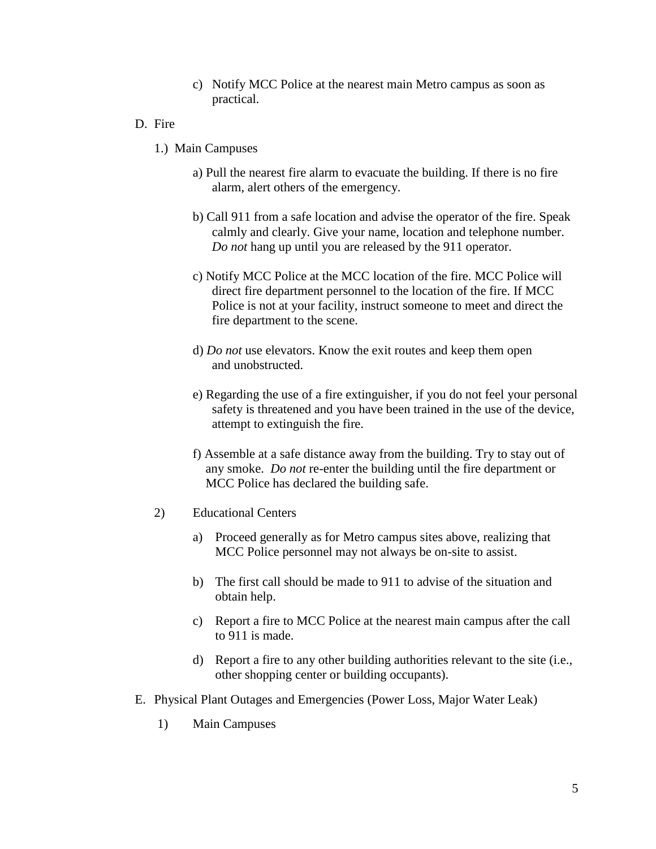- c) Notify MCC Police at the nearest main Metro campus as soon as practical.
- D. Fire
	- 1.) Main Campuses
		- a) Pull the nearest fire alarm to evacuate the building. If there is no fire alarm, alert others of the emergency.
		- b) Call 911 from a safe location and advise the operator of the fire. Speak calmly and clearly. Give your name, location and telephone number. *Do not* hang up until you are released by the 911 operator.
		- c) Notify MCC Police at the MCC location of the fire. MCC Police will direct fire department personnel to the location of the fire. If MCC Police is not at your facility, instruct someone to meet and direct the fire department to the scene.
		- d) *Do not* use elevators. Know the exit routes and keep them open and unobstructed.
		- e) Regarding the use of a fire extinguisher, if you do not feel your personal safety is threatened and you have been trained in the use of the device, attempt to extinguish the fire.
		- f) Assemble at a safe distance away from the building. Try to stay out of any smoke. *Do not* re-enter the building until the fire department or MCC Police has declared the building safe.
	- 2) Educational Centers
		- a) Proceed generally as for Metro campus sites above, realizing that MCC Police personnel may not always be on-site to assist.
		- b) The first call should be made to 911 to advise of the situation and obtain help.
		- c) Report a fire to MCC Police at the nearest main campus after the call to 911 is made.
		- d) Report a fire to any other building authorities relevant to the site (i.e., other shopping center or building occupants).
- E. Physical Plant Outages and Emergencies (Power Loss, Major Water Leak)
	- 1) Main Campuses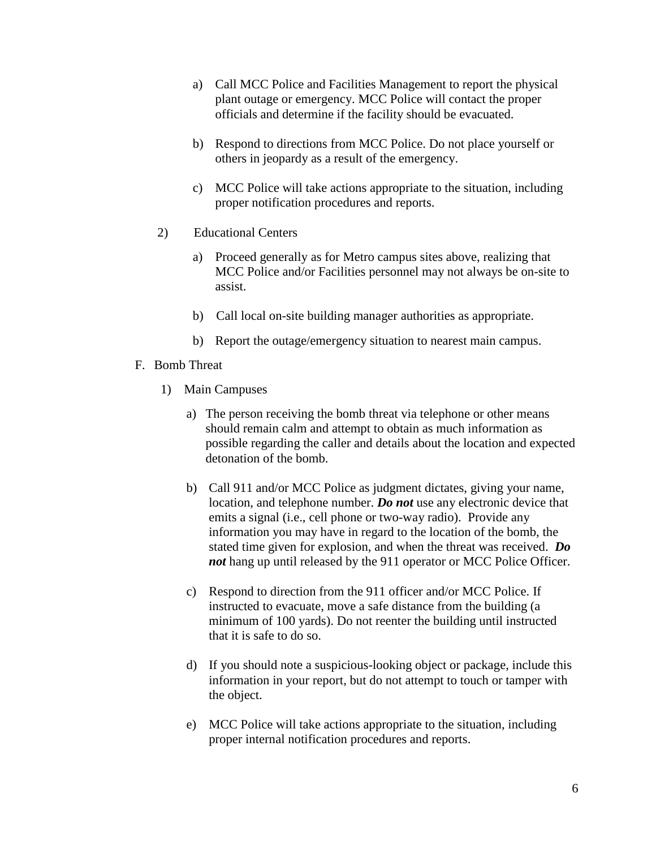- a) Call MCC Police and Facilities Management to report the physical plant outage or emergency. MCC Police will contact the proper officials and determine if the facility should be evacuated.
- b) Respond to directions from MCC Police. Do not place yourself or others in jeopardy as a result of the emergency.
- c) MCC Police will take actions appropriate to the situation, including proper notification procedures and reports.
- 2) Educational Centers
	- a) Proceed generally as for Metro campus sites above, realizing that MCC Police and/or Facilities personnel may not always be on-site to assist.
	- b) Call local on-site building manager authorities as appropriate.
	- b) Report the outage/emergency situation to nearest main campus.
- F. Bomb Threat
	- 1) Main Campuses
		- a) The person receiving the bomb threat via telephone or other means should remain calm and attempt to obtain as much information as possible regarding the caller and details about the location and expected detonation of the bomb.
		- b) Call 911 and/or MCC Police as judgment dictates, giving your name, location, and telephone number. *Do not* use any electronic device that emits a signal (i.e., cell phone or two-way radio). Provide any information you may have in regard to the location of the bomb, the stated time given for explosion, and when the threat was received. *Do not* hang up until released by the 911 operator or MCC Police Officer.
		- c) Respond to direction from the 911 officer and/or MCC Police. If instructed to evacuate, move a safe distance from the building (a minimum of 100 yards). Do not reenter the building until instructed that it is safe to do so.
		- d) If you should note a suspicious-looking object or package, include this information in your report, but do not attempt to touch or tamper with the object.
		- e) MCC Police will take actions appropriate to the situation, including proper internal notification procedures and reports.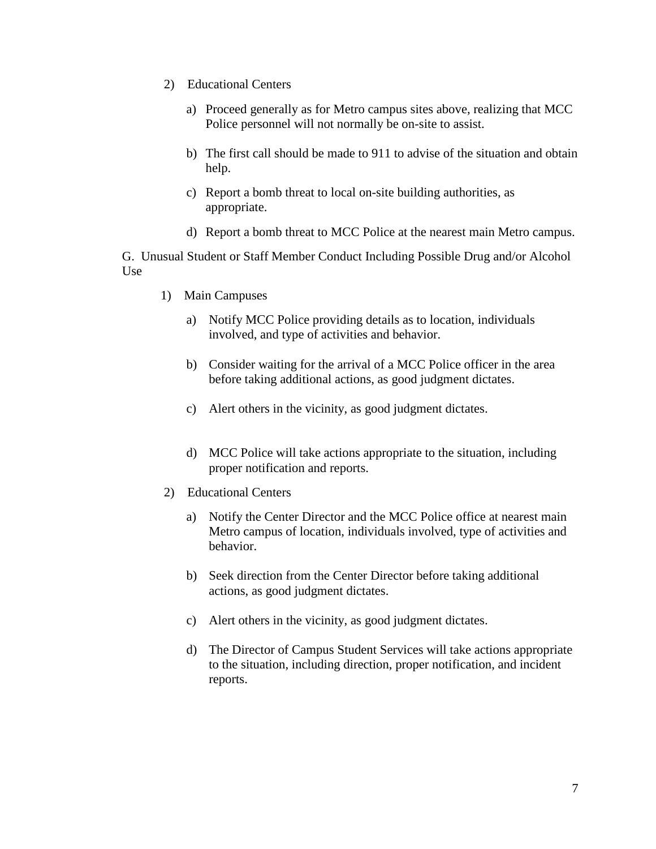- 2) Educational Centers
	- a) Proceed generally as for Metro campus sites above, realizing that MCC Police personnel will not normally be on-site to assist.
	- b) The first call should be made to 911 to advise of the situation and obtain help.
	- c) Report a bomb threat to local on-site building authorities, as appropriate.
	- d) Report a bomb threat to MCC Police at the nearest main Metro campus.

G. Unusual Student or Staff Member Conduct Including Possible Drug and/or Alcohol Use

- 1) Main Campuses
	- a) Notify MCC Police providing details as to location, individuals involved, and type of activities and behavior.
	- b) Consider waiting for the arrival of a MCC Police officer in the area before taking additional actions, as good judgment dictates.
	- c) Alert others in the vicinity, as good judgment dictates.
	- d) MCC Police will take actions appropriate to the situation, including proper notification and reports.
- 2) Educational Centers
	- a) Notify the Center Director and the MCC Police office at nearest main Metro campus of location, individuals involved, type of activities and behavior.
	- b) Seek direction from the Center Director before taking additional actions, as good judgment dictates.
	- c) Alert others in the vicinity, as good judgment dictates.
	- d) The Director of Campus Student Services will take actions appropriate to the situation, including direction, proper notification, and incident reports.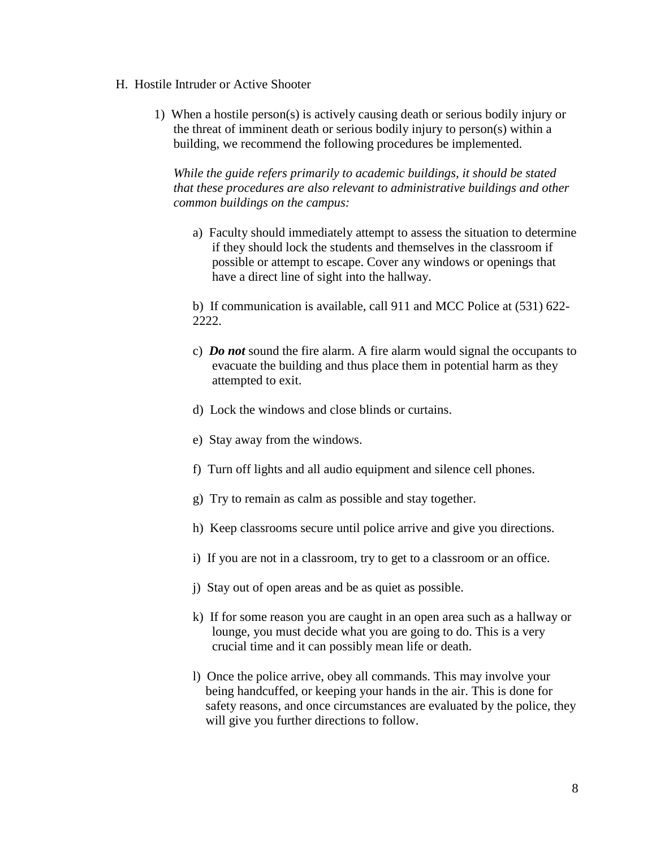#### H. Hostile Intruder or Active Shooter

1) When a hostile person(s) is actively causing death or serious bodily injury or the threat of imminent death or serious bodily injury to person(s) within a building, we recommend the following procedures be implemented.

*While the guide refers primarily to academic buildings, it should be stated that these procedures are also relevant to administrative buildings and other common buildings on the campus:*

a) Faculty should immediately attempt to assess the situation to determine if they should lock the students and themselves in the classroom if possible or attempt to escape. Cover any windows or openings that have a direct line of sight into the hallway.

b) If communication is available, call 911 and MCC Police at (531) 622- 2222.

- c) *Do not* sound the fire alarm. A fire alarm would signal the occupants to evacuate the building and thus place them in potential harm as they attempted to exit.
- d) Lock the windows and close blinds or curtains.
- e) Stay away from the windows.
- f) Turn off lights and all audio equipment and silence cell phones.
- g) Try to remain as calm as possible and stay together.
- h) Keep classrooms secure until police arrive and give you directions.
- i) If you are not in a classroom, try to get to a classroom or an office.
- j) Stay out of open areas and be as quiet as possible.
- k) If for some reason you are caught in an open area such as a hallway or lounge, you must decide what you are going to do. This is a very crucial time and it can possibly mean life or death.
- l) Once the police arrive, obey all commands. This may involve your being handcuffed, or keeping your hands in the air. This is done for safety reasons, and once circumstances are evaluated by the police, they will give you further directions to follow.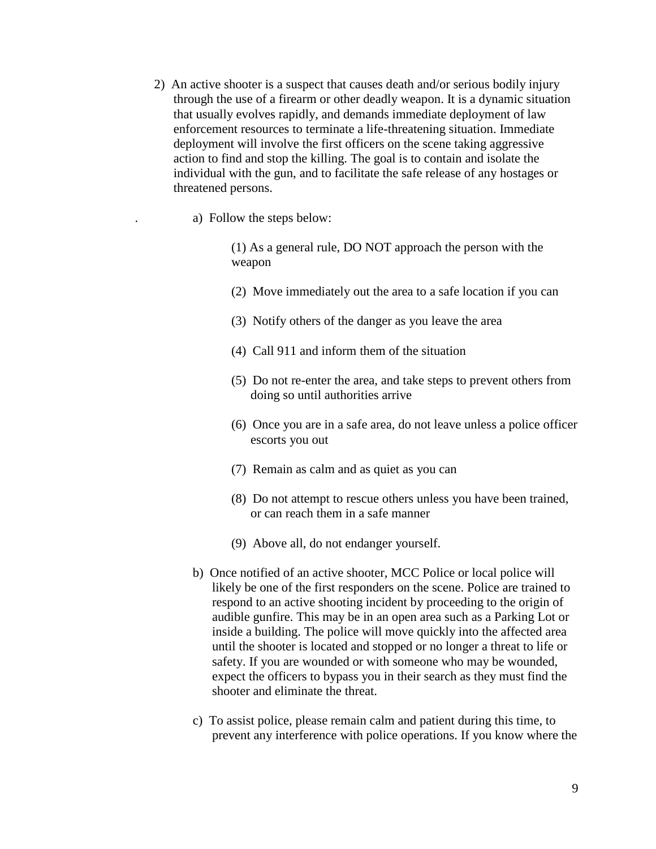- 2) An active shooter is a suspect that causes death and/or serious bodily injury through the use of a firearm or other deadly weapon. It is a dynamic situation that usually evolves rapidly, and demands immediate deployment of law enforcement resources to terminate a life-threatening situation. Immediate deployment will involve the first officers on the scene taking aggressive action to find and stop the killing. The goal is to contain and isolate the individual with the gun, and to facilitate the safe release of any hostages or threatened persons.
	- . a) Follow the steps below:

(1) As a general rule, DO NOT approach the person with the weapon

- (2) Move immediately out the area to a safe location if you can
- (3) Notify others of the danger as you leave the area
- (4) Call 911 and inform them of the situation
- (5) Do not re-enter the area, and take steps to prevent others from doing so until authorities arrive
- (6) Once you are in a safe area, do not leave unless a police officer escorts you out
- (7) Remain as calm and as quiet as you can
- (8) Do not attempt to rescue others unless you have been trained, or can reach them in a safe manner
- (9) Above all, do not endanger yourself.
- b) Once notified of an active shooter, MCC Police or local police will likely be one of the first responders on the scene. Police are trained to respond to an active shooting incident by proceeding to the origin of audible gunfire. This may be in an open area such as a Parking Lot or inside a building. The police will move quickly into the affected area until the shooter is located and stopped or no longer a threat to life or safety. If you are wounded or with someone who may be wounded, expect the officers to bypass you in their search as they must find the shooter and eliminate the threat.
- c) To assist police, please remain calm and patient during this time, to prevent any interference with police operations. If you know where the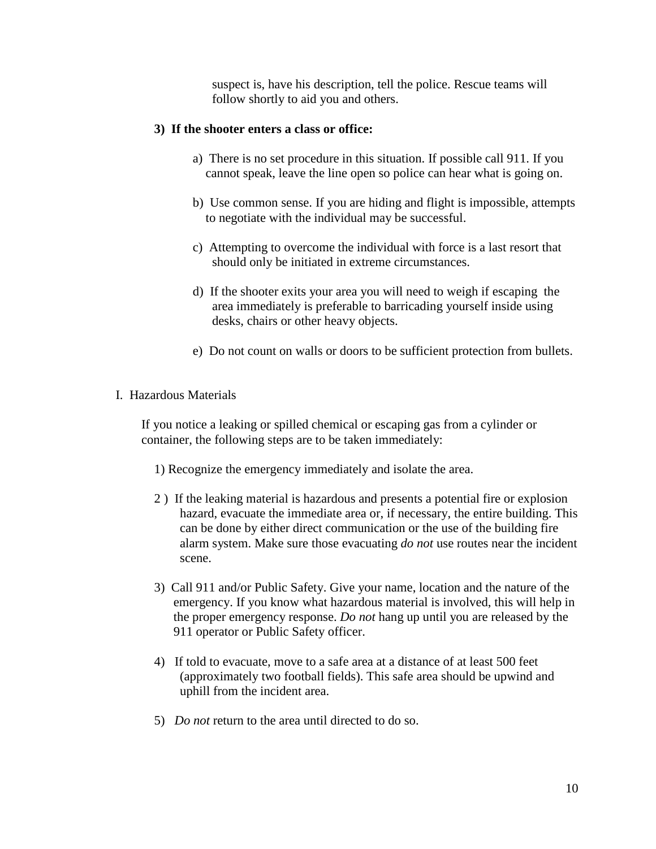suspect is, have his description, tell the police. Rescue teams will follow shortly to aid you and others.

## **3) If the shooter enters a class or office:**

- a) There is no set procedure in this situation. If possible call 911. If you cannot speak, leave the line open so police can hear what is going on.
- b) Use common sense. If you are hiding and flight is impossible, attempts to negotiate with the individual may be successful.
- c) Attempting to overcome the individual with force is a last resort that should only be initiated in extreme circumstances.
- d) If the shooter exits your area you will need to weigh if escaping the area immediately is preferable to barricading yourself inside using desks, chairs or other heavy objects.
- e) Do not count on walls or doors to be sufficient protection from bullets.
- I. Hazardous Materials

If you notice a leaking or spilled chemical or escaping gas from a cylinder or container, the following steps are to be taken immediately:

- 1) Recognize the emergency immediately and isolate the area.
- 2 ) If the leaking material is hazardous and presents a potential fire or explosion hazard, evacuate the immediate area or, if necessary, the entire building. This can be done by either direct communication or the use of the building fire alarm system. Make sure those evacuating *do not* use routes near the incident scene.
- 3) Call 911 and/or Public Safety. Give your name, location and the nature of the emergency. If you know what hazardous material is involved, this will help in the proper emergency response. *Do not* hang up until you are released by the 911 operator or Public Safety officer.
- 4) If told to evacuate, move to a safe area at a distance of at least 500 feet (approximately two football fields). This safe area should be upwind and uphill from the incident area.
- 5) *Do not* return to the area until directed to do so.